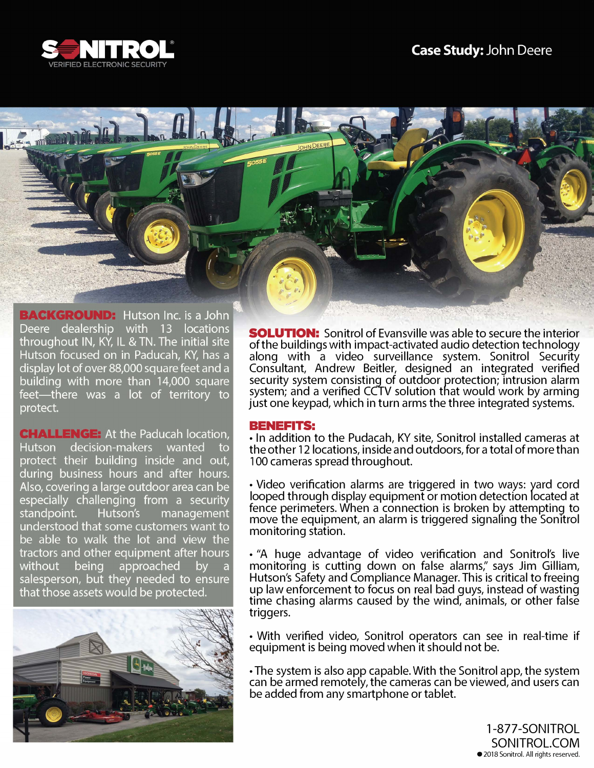



**BACKGROUND:** Hutson Inc. is a John Deere dealership with 13 locations throughout IN, KY, IL & TN. The initial site Hutson focused on in Paducah, KY, has a display lot of over 88,000 square feet and a building with more than 14,000 square feet—there was a lot of territory to protect.

**CHALLENGE:** At the Paducah location, Hutson decision-makers wanted to protect their building inside and out, during business hours and after hours. Also, covering a large outdoor area can be especially challenging from a security standpoint. Hutson's management understood that some customers want to be able to walk the lot and view the tractors and other equipment after hours approached without being by  $\overline{a}$ salesperson, but they needed to ensure that those assets would be protected.



**SOLUTION:** Sonitrol of Evansville was able to secure the interior of the buildings with impact-activated audio detection technology along with a video surveillance system. Sonitrol Security Consultant, Andrew Beitler, designed an integrated verified security system consisting of outdoor protection; intrusion alarm system; and a verified CCTV solution that would work by arming just one keypad, which in turn arms the three integrated systems.

#### BENEFITS:

• In addition to the Pudacah, KY site, Sonitrol installed cameras at the other 12 locations, inside and outdoors, for a total of more than 100 cameras spread throughout.

• Video verification alarms are triggered in two ways: yard cord looped through display equipment or motion detection located at fence perimeters. When a connection is broken by attempting to move the equipment, an alarm is triggered signaling the Sonitrol monitoring station.

• "A huge advantage of video verification and Sonitrol's live monitoring is cutting down on false alarms;' says Jim Gilliam, Hutson's Safety and Compliance Manager. This is critical to freeing up law enforcement to focus on real bad guys, instead of wasting time chasing alarms caused by the wind, animals, or other false triggers.

• With verified video, Sonitrol operators can see in real-time if equipment is being moved when it should not be.

• The system is also app capable. With the Sonitrol app, the system can be armed remotely, the cameras can be viewed, and users can be added from any smartphone or tablet.

> 1-877-SONITROL SONITROL.COM ● 2018 Sonitrol. All rights reserved.